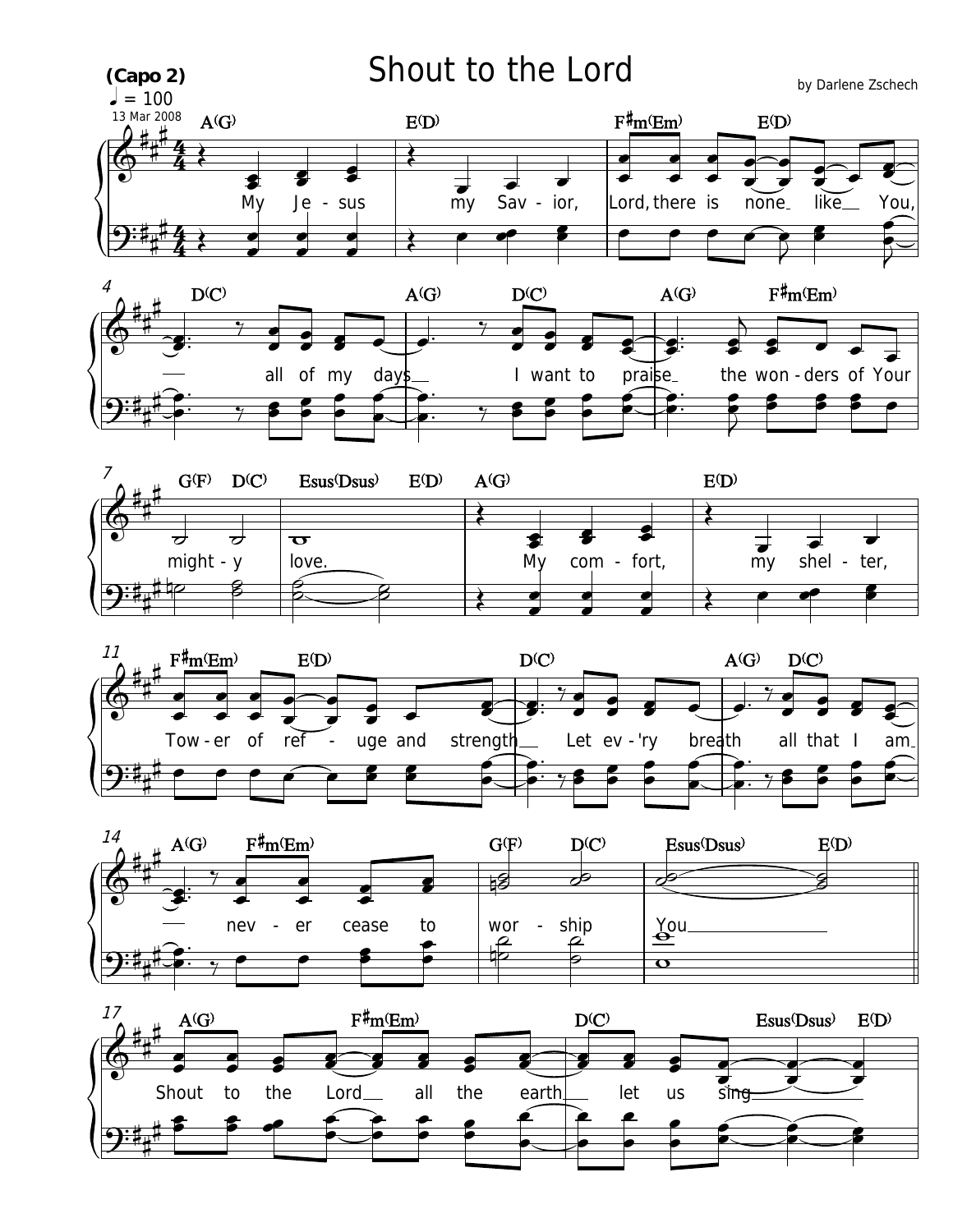